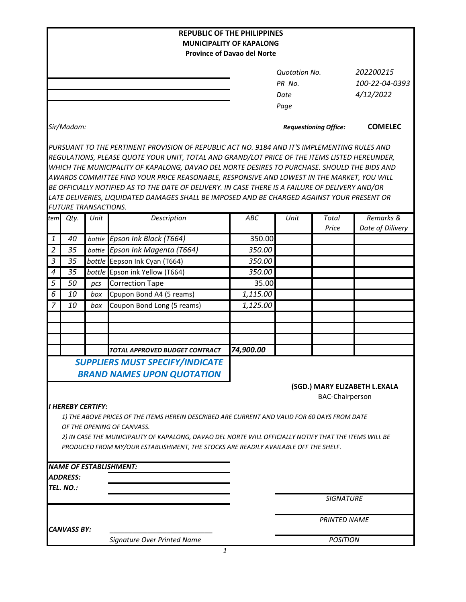|                                                                                                                             |                                                    |            | <b>REPUBLIC OF THE PHILIPPINES</b>                                                               | <b>MUNICIPALITY OF KAPALONG</b>    |                              |                  |                  |  |
|-----------------------------------------------------------------------------------------------------------------------------|----------------------------------------------------|------------|--------------------------------------------------------------------------------------------------|------------------------------------|------------------------------|------------------|------------------|--|
|                                                                                                                             |                                                    |            |                                                                                                  | <b>Province of Davao del Norte</b> |                              |                  |                  |  |
|                                                                                                                             |                                                    |            |                                                                                                  |                                    |                              |                  |                  |  |
|                                                                                                                             |                                                    |            |                                                                                                  |                                    | <b>Quotation No.</b>         |                  | 202200215        |  |
|                                                                                                                             |                                                    |            |                                                                                                  |                                    | PR No.                       |                  | 100-22-04-0393   |  |
|                                                                                                                             |                                                    |            |                                                                                                  |                                    | Date                         |                  | 4/12/2022        |  |
|                                                                                                                             |                                                    |            |                                                                                                  |                                    | Page                         |                  |                  |  |
|                                                                                                                             | Sir/Madam:                                         |            |                                                                                                  |                                    | <b>Requestioning Office:</b> |                  | <b>COMELEC</b>   |  |
|                                                                                                                             |                                                    |            | PURSUANT TO THE PERTINENT PROVISION OF REPUBLIC ACT NO. 9184 AND IT'S IMPLEMENTING RULES AND     |                                    |                              |                  |                  |  |
|                                                                                                                             |                                                    |            | REGULATIONS, PLEASE QUOTE YOUR UNIT, TOTAL AND GRAND/LOT PRICE OF THE ITEMS LISTED HEREUNDER,    |                                    |                              |                  |                  |  |
|                                                                                                                             |                                                    |            | WHICH THE MUNICIPALITY OF KAPALONG, DAVAO DEL NORTE DESIRES TO PURCHASE. SHOULD THE BIDS AND     |                                    |                              |                  |                  |  |
|                                                                                                                             |                                                    |            | AWARDS COMMITTEE FIND YOUR PRICE REASONABLE, RESPONSIVE AND LOWEST IN THE MARKET, YOU WILL       |                                    |                              |                  |                  |  |
|                                                                                                                             |                                                    |            | BE OFFICIALLY NOTIFIED AS TO THE DATE OF DELIVERY. IN CASE THERE IS A FAILURE OF DELIVERY AND/OR |                                    |                              |                  |                  |  |
|                                                                                                                             |                                                    |            | LATE DELIVERIES, LIQUIDATED DAMAGES SHALL BE IMPOSED AND BE CHARGED AGAINST YOUR PRESENT OR      |                                    |                              |                  |                  |  |
|                                                                                                                             | <b>FUTURE TRANSACTIONS.</b>                        |            |                                                                                                  |                                    |                              |                  |                  |  |
| tem                                                                                                                         | Qty.                                               | Unit       | Description                                                                                      | ABC                                | Unit                         | Total            | Remarks &        |  |
|                                                                                                                             |                                                    |            |                                                                                                  |                                    |                              | Price            | Date of Dilivery |  |
| 1<br>$\overline{2}$                                                                                                         | 40<br>35                                           | bottle     | Epson Ink Black (T664)                                                                           | 350.00<br>350.00                   |                              |                  |                  |  |
| 3                                                                                                                           | 35                                                 | bottle     | Epson Ink Magenta (T664)                                                                         | 350.00                             |                              |                  |                  |  |
| $\boldsymbol{4}$                                                                                                            | 35                                                 |            | bottle Eepson Ink Cyan (T664)<br>bottle Epson ink Yellow (T664)                                  | 350.00                             |                              |                  |                  |  |
| 5                                                                                                                           | 50                                                 |            | <b>Correction Tape</b>                                                                           | 35.00                              |                              |                  |                  |  |
| 6                                                                                                                           | 10                                                 | pcs<br>box | Cpupon Bond A4 (5 reams)                                                                         | 1,115.00                           |                              |                  |                  |  |
| $\overline{7}$                                                                                                              | 10                                                 | box        | Coupon Bond Long (5 reams)                                                                       | 1,125.00                           |                              |                  |                  |  |
|                                                                                                                             |                                                    |            |                                                                                                  |                                    |                              |                  |                  |  |
|                                                                                                                             |                                                    |            |                                                                                                  |                                    |                              |                  |                  |  |
|                                                                                                                             |                                                    |            |                                                                                                  |                                    |                              |                  |                  |  |
|                                                                                                                             |                                                    |            | TOTAL APPROVED BUDGET CONTRACT                                                                   | 74,900.00                          |                              |                  |                  |  |
|                                                                                                                             |                                                    |            | SUPPLIERS MUST SPECIFY/INDICATE                                                                  |                                    |                              |                  |                  |  |
|                                                                                                                             |                                                    |            |                                                                                                  |                                    |                              |                  |                  |  |
|                                                                                                                             |                                                    |            | <b>BRAND NAMES UPON QUOTATION</b>                                                                |                                    |                              |                  |                  |  |
| (SGD.) MARY ELIZABETH L.EXALA                                                                                               |                                                    |            |                                                                                                  |                                    |                              |                  |                  |  |
|                                                                                                                             | <b>BAC-Chairperson</b><br><b>I HEREBY CERTIFY:</b> |            |                                                                                                  |                                    |                              |                  |                  |  |
|                                                                                                                             |                                                    |            |                                                                                                  |                                    |                              |                  |                  |  |
| 1) THE ABOVE PRICES OF THE ITEMS HEREIN DESCRIBED ARE CURRENT AND VALID FOR 60 DAYS FROM DATE<br>OF THE OPENING OF CANVASS. |                                                    |            |                                                                                                  |                                    |                              |                  |                  |  |
| 2) IN CASE THE MUNICIPALITY OF KAPALONG, DAVAO DEL NORTE WILL OFFICIALLY NOTIFY THAT THE ITEMS WILL BE                      |                                                    |            |                                                                                                  |                                    |                              |                  |                  |  |
|                                                                                                                             |                                                    |            | PRODUCED FROM MY/OUR ESTABLISHMENT, THE STOCKS ARE READILY AVAILABLE OFF THE SHELF.              |                                    |                              |                  |                  |  |
|                                                                                                                             |                                                    |            |                                                                                                  |                                    |                              |                  |                  |  |
|                                                                                                                             |                                                    |            | <b>NAME OF ESTABLISHMENT:</b>                                                                    |                                    |                              |                  |                  |  |
|                                                                                                                             | <i><b>ADDRESS:</b></i>                             |            |                                                                                                  |                                    |                              |                  |                  |  |
|                                                                                                                             | TEL. NO.:                                          |            |                                                                                                  |                                    |                              |                  |                  |  |
|                                                                                                                             |                                                    |            |                                                                                                  |                                    |                              | <b>SIGNATURE</b> |                  |  |
|                                                                                                                             |                                                    |            |                                                                                                  |                                    | <b>PRINTED NAME</b>          |                  |                  |  |
|                                                                                                                             | <b>CANVASS BY:</b>                                 |            |                                                                                                  |                                    |                              |                  |                  |  |
|                                                                                                                             |                                                    |            | Signature Over Printed Name                                                                      |                                    |                              | <b>POSITION</b>  |                  |  |